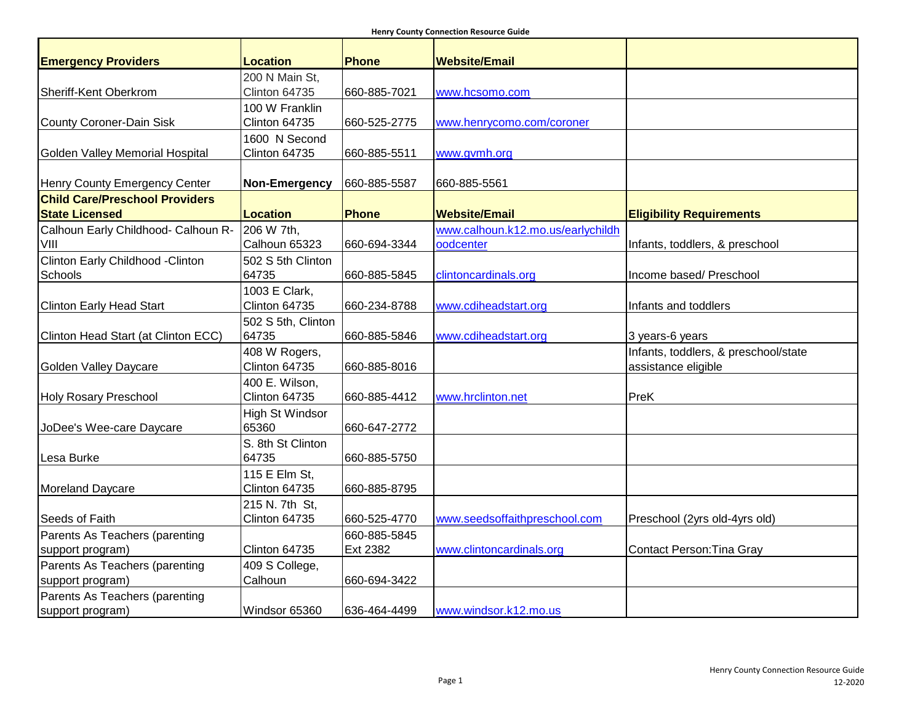**Henry County Connection Resource Guide**

| <b>Emergency Providers</b>            | <b>Location</b>          | Phone        | <b>Website/Email</b>              |                                      |
|---------------------------------------|--------------------------|--------------|-----------------------------------|--------------------------------------|
|                                       | 200 N Main St,           |              |                                   |                                      |
| Sheriff-Kent Oberkrom                 | Clinton 64735            | 660-885-7021 | www.hcsomo.com                    |                                      |
|                                       | 100 W Franklin           |              |                                   |                                      |
| <b>County Coroner-Dain Sisk</b>       | Clinton 64735            | 660-525-2775 | www.henrycomo.com/coroner         |                                      |
|                                       | 1600 N Second            |              |                                   |                                      |
| Golden Valley Memorial Hospital       | Clinton 64735            | 660-885-5511 | www.gvmh.org                      |                                      |
| Henry County Emergency Center         | Non-Emergency            | 660-885-5587 | 660-885-5561                      |                                      |
| <b>Child Care/Preschool Providers</b> |                          |              |                                   |                                      |
| <b>State Licensed</b>                 | <b>Location</b>          | <b>Phone</b> | <b>Website/Email</b>              | <b>Eligibility Requirements</b>      |
| Calhoun Early Childhood- Calhoun R-   | 206 W 7th,               |              | www.calhoun.k12.mo.us/earlychildh |                                      |
| VIII                                  | Calhoun 65323            | 660-694-3344 | oodcenter                         | Infants, toddlers, & preschool       |
| Clinton Early Childhood - Clinton     | 502 S 5th Clinton        |              |                                   |                                      |
| Schools                               | 64735                    | 660-885-5845 | clintoncardinals.org              | Income based/ Preschool              |
|                                       | 1003 E Clark,            |              |                                   |                                      |
| <b>Clinton Early Head Start</b>       | Clinton 64735            | 660-234-8788 | www.cdiheadstart.org              | Infants and toddlers                 |
|                                       | 502 S 5th, Clinton       |              |                                   |                                      |
| Clinton Head Start (at Clinton ECC)   | 64735                    | 660-885-5846 | www.cdiheadstart.org              | 3 years-6 years                      |
|                                       | 408 W Rogers,            |              |                                   | Infants, toddlers, & preschool/state |
| <b>Golden Valley Daycare</b>          | Clinton 64735            | 660-885-8016 |                                   | assistance eligible                  |
|                                       | 400 E. Wilson,           |              |                                   |                                      |
| <b>Holy Rosary Preschool</b>          | Clinton 64735            | 660-885-4412 | www.hrclinton.net                 | PreK                                 |
|                                       | High St Windsor<br>65360 | 660-647-2772 |                                   |                                      |
| JoDee's Wee-care Daycare              | S. 8th St Clinton        |              |                                   |                                      |
| Lesa Burke                            | 64735                    | 660-885-5750 |                                   |                                      |
|                                       | 115 E Elm St,            |              |                                   |                                      |
| Moreland Daycare                      | Clinton 64735            | 660-885-8795 |                                   |                                      |
|                                       | 215 N. 7th St,           |              |                                   |                                      |
| Seeds of Faith                        | Clinton 64735            | 660-525-4770 | www.seedsoffaithpreschool.com     | Preschool (2yrs old-4yrs old)        |
| Parents As Teachers (parenting        |                          | 660-885-5845 |                                   |                                      |
| support program)                      | Clinton 64735            | Ext 2382     | www.clintoncardinals.org          | <b>Contact Person: Tina Gray</b>     |
| Parents As Teachers (parenting        | 409 S College,           |              |                                   |                                      |
| support program)                      | Calhoun                  | 660-694-3422 |                                   |                                      |
| Parents As Teachers (parenting        |                          |              |                                   |                                      |
| support program)                      | Windsor 65360            | 636-464-4499 | www.windsor.k12.mo.us             |                                      |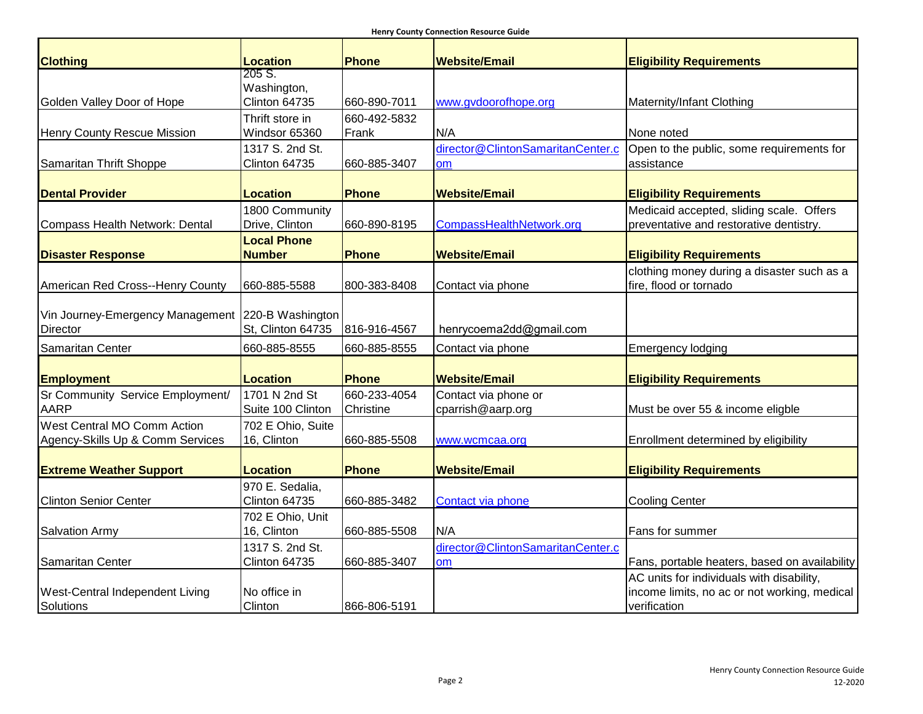| <b>Clothing</b>                  | <b>Location</b>    | <b>Phone</b> | <b>Website/Email</b>              | <b>Eligibility Requirements</b>               |
|----------------------------------|--------------------|--------------|-----------------------------------|-----------------------------------------------|
|                                  | 205 S.             |              |                                   |                                               |
|                                  | Washington,        |              |                                   |                                               |
| Golden Valley Door of Hope       | Clinton 64735      | 660-890-7011 | www.gvdoorofhope.org              | Maternity/Infant Clothing                     |
|                                  | Thrift store in    | 660-492-5832 |                                   |                                               |
| Henry County Rescue Mission      | Windsor 65360      | Frank        | N/A                               | None noted                                    |
|                                  | 1317 S. 2nd St.    |              | director@ClintonSamaritanCenter.c | Open to the public, some requirements for     |
| Samaritan Thrift Shoppe          | Clinton 64735      | 660-885-3407 | <b>om</b>                         | assistance                                    |
| <b>Dental Provider</b>           | <b>Location</b>    | <b>Phone</b> | <b>Website/Email</b>              | <b>Eligibility Requirements</b>               |
|                                  | 1800 Community     |              |                                   | Medicaid accepted, sliding scale. Offers      |
| Compass Health Network: Dental   | Drive, Clinton     | 660-890-8195 | CompassHealthNetwork.org          | preventative and restorative dentistry.       |
|                                  | <b>Local Phone</b> |              |                                   |                                               |
| <b>Disaster Response</b>         | <b>Number</b>      | <b>Phone</b> | <b>Website/Email</b>              | <b>Eligibility Requirements</b>               |
|                                  |                    |              |                                   | clothing money during a disaster such as a    |
| American Red Cross--Henry County | 660-885-5588       | 800-383-8408 | Contact via phone                 | fire, flood or tornado                        |
|                                  |                    |              |                                   |                                               |
| Vin Journey-Emergency Management | 220-B Washington   |              |                                   |                                               |
| Director                         | St, Clinton 64735  | 816-916-4567 | henrycoema2dd@gmail.com           |                                               |
| Samaritan Center                 | 660-885-8555       | 660-885-8555 | Contact via phone                 | <b>Emergency lodging</b>                      |
|                                  |                    |              |                                   |                                               |
| <b>Employment</b>                | <b>Location</b>    | <b>Phone</b> | <b>Website/Email</b>              | <b>Eligibility Requirements</b>               |
| Sr Community Service Employment/ | 1701 N 2nd St      | 660-233-4054 | Contact via phone or              |                                               |
| <b>AARP</b>                      | Suite 100 Clinton  | Christine    | cparrish@aarp.org                 | Must be over 55 & income eligble              |
| West Central MO Comm Action      | 702 E Ohio, Suite  |              |                                   |                                               |
| Agency-Skills Up & Comm Services | 16, Clinton        | 660-885-5508 | www.wcmcaa.org                    | Enrollment determined by eligibility          |
|                                  |                    |              |                                   |                                               |
| <b>Extreme Weather Support</b>   | <b>Location</b>    | <b>Phone</b> | <b>Website/Email</b>              | <b>Eligibility Requirements</b>               |
|                                  | 970 E. Sedalia,    |              |                                   |                                               |
| <b>Clinton Senior Center</b>     | Clinton 64735      | 660-885-3482 | Contact via phone                 | <b>Cooling Center</b>                         |
|                                  | 702 E Ohio, Unit   |              |                                   |                                               |
| <b>Salvation Army</b>            | 16, Clinton        | 660-885-5508 | N/A                               | Fans for summer                               |
|                                  | 1317 S. 2nd St.    |              | director@ClintonSamaritanCenter.c |                                               |
| Samaritan Center                 | Clinton 64735      | 660-885-3407 | <b>om</b>                         | Fans, portable heaters, based on availability |
|                                  |                    |              |                                   | AC units for individuals with disability,     |
| West-Central Independent Living  | No office in       |              |                                   | income limits, no ac or not working, medical  |
| Solutions                        | Clinton            | 866-806-5191 |                                   | verification                                  |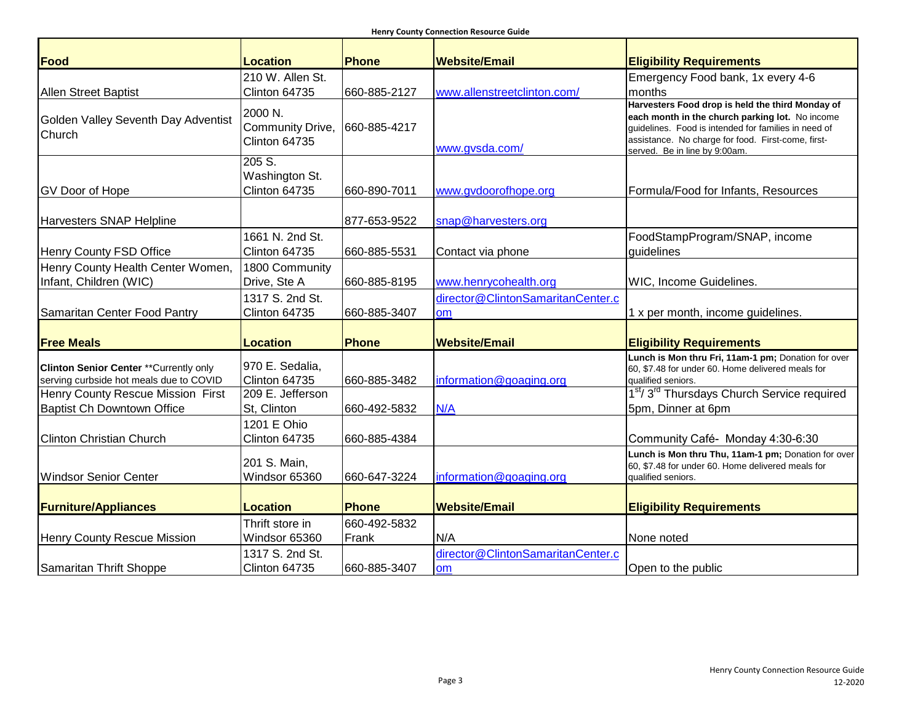| Food                                                                                      | <b>Location</b>                              | Phone                 | <b>Website/Email</b>                           | <b>Eligibility Requirements</b>                                                                                                                                                                                                                    |
|-------------------------------------------------------------------------------------------|----------------------------------------------|-----------------------|------------------------------------------------|----------------------------------------------------------------------------------------------------------------------------------------------------------------------------------------------------------------------------------------------------|
|                                                                                           | 210 W. Allen St.                             |                       |                                                | Emergency Food bank, 1x every 4-6                                                                                                                                                                                                                  |
| <b>Allen Street Baptist</b>                                                               | Clinton 64735                                | 660-885-2127          | www.allenstreetclinton.com/                    | months                                                                                                                                                                                                                                             |
| Golden Valley Seventh Day Adventist<br>Church                                             | 2000 N.<br>Community Drive,<br>Clinton 64735 | 660-885-4217          | www.gvsda.com/                                 | Harvesters Food drop is held the third Monday of<br>each month in the church parking lot. No income<br>quidelines. Food is intended for families in need of<br>assistance. No charge for food. First-come, first-<br>served. Be in line by 9:00am. |
| <b>GV Door of Hope</b>                                                                    | 205 S.<br>Washington St.<br>Clinton 64735    | 660-890-7011          | www.gvdoorofhope.org                           | Formula/Food for Infants, Resources                                                                                                                                                                                                                |
| <b>Harvesters SNAP Helpline</b>                                                           |                                              | 877-653-9522          | snap@harvesters.org                            |                                                                                                                                                                                                                                                    |
| Henry County FSD Office                                                                   | 1661 N. 2nd St.<br>Clinton 64735             | 660-885-5531          | Contact via phone                              | FoodStampProgram/SNAP, income<br>guidelines                                                                                                                                                                                                        |
| Henry County Health Center Women,<br>Infant, Children (WIC)                               | 1800 Community<br>Drive, Ste A               | 660-885-8195          | www.henrycohealth.org                          | WIC, Income Guidelines.                                                                                                                                                                                                                            |
|                                                                                           | 1317 S. 2nd St.                              |                       | director@ClintonSamaritanCenter.c              |                                                                                                                                                                                                                                                    |
| Samaritan Center Food Pantry                                                              | Clinton 64735                                | 660-885-3407          | om                                             | 1 x per month, income guidelines.                                                                                                                                                                                                                  |
| <b>Free Meals</b>                                                                         | <b>Location</b>                              | <b>Phone</b>          | <b>Website/Email</b>                           | <b>Eligibility Requirements</b>                                                                                                                                                                                                                    |
| <b>Clinton Senior Center ** Currently only</b><br>serving curbside hot meals due to COVID | 970 E. Sedalia,<br>Clinton 64735             | 660-885-3482          | information@goaging.org                        | Lunch is Mon thru Fri, 11am-1 pm; Donation for over<br>60, \$7.48 for under 60. Home delivered meals for<br>qualified seniors.                                                                                                                     |
| Henry County Rescue Mission First                                                         | 209 E. Jefferson                             |                       |                                                | 1 <sup>st</sup> /3 <sup>rd</sup> Thursdays Church Service required                                                                                                                                                                                 |
| <b>Baptist Ch Downtown Office</b>                                                         | St, Clinton                                  | 660-492-5832          | N/A                                            | 5pm, Dinner at 6pm                                                                                                                                                                                                                                 |
| <b>Clinton Christian Church</b>                                                           | 1201 E Ohio<br>Clinton 64735                 | 660-885-4384          |                                                | Community Café- Monday 4:30-6:30                                                                                                                                                                                                                   |
| <b>Windsor Senior Center</b>                                                              | 201 S. Main,<br>Windsor 65360                | 660-647-3224          | information@goaging.org                        | Lunch is Mon thru Thu, 11am-1 pm; Donation for over<br>60, \$7.48 for under 60. Home delivered meals for<br>qualified seniors.                                                                                                                     |
| <b>Furniture/Appliances</b>                                                               | <b>Location</b>                              | <b>Phone</b>          | <b>Website/Email</b>                           | <b>Eligibility Requirements</b>                                                                                                                                                                                                                    |
| Henry County Rescue Mission                                                               | Thrift store in<br>Windsor 65360             | 660-492-5832<br>Frank | N/A                                            | None noted                                                                                                                                                                                                                                         |
| Samaritan Thrift Shoppe                                                                   | 1317 S. 2nd St.<br>Clinton 64735             | 660-885-3407          | director@ClintonSamaritanCenter.c<br><b>om</b> | Open to the public                                                                                                                                                                                                                                 |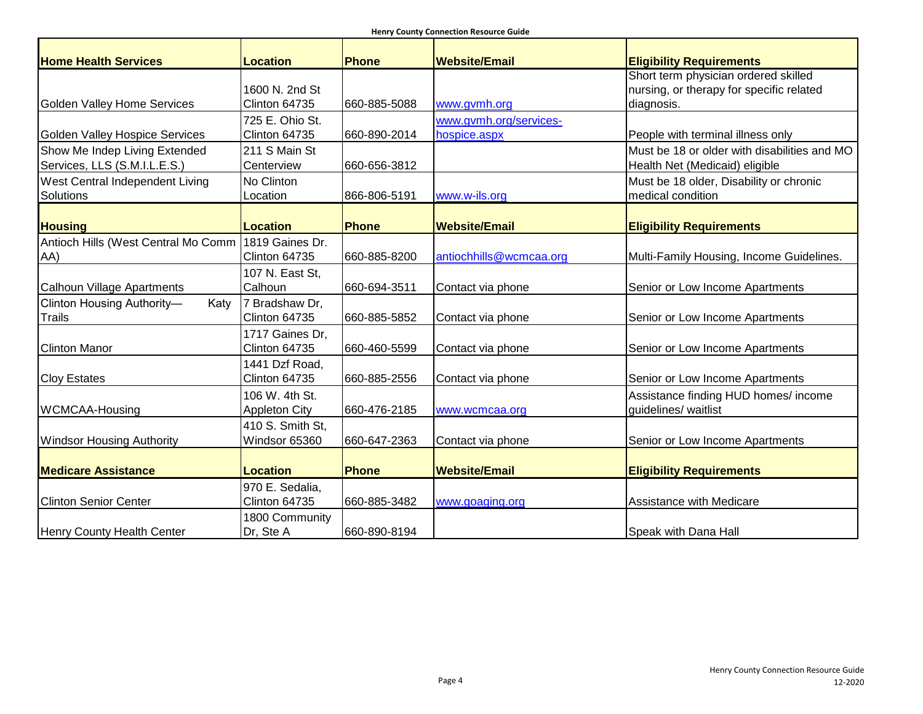| <b>Home Health Services</b>         | <b>Location</b>      | <b>Phone</b> | <b>Website/Email</b>    | <b>Eligibility Requirements</b>              |
|-------------------------------------|----------------------|--------------|-------------------------|----------------------------------------------|
|                                     |                      |              |                         | Short term physician ordered skilled         |
|                                     | 1600 N. 2nd St       |              |                         | nursing, or therapy for specific related     |
| Golden Valley Home Services         | Clinton 64735        | 660-885-5088 | www.gvmh.org            | diagnosis.                                   |
|                                     | 725 E. Ohio St.      |              | www.gvmh.org/services-  |                                              |
| Golden Valley Hospice Services      | Clinton 64735        | 660-890-2014 | hospice.aspx            | People with terminal illness only            |
| Show Me Indep Living Extended       | 211 S Main St        |              |                         | Must be 18 or older with disabilities and MO |
| Services, LLS (S.M.I.L.E.S.)        | Centerview           | 660-656-3812 |                         | Health Net (Medicaid) eligible               |
| West Central Independent Living     | No Clinton           |              |                         | Must be 18 older, Disability or chronic      |
| Solutions                           | Location             | 866-806-5191 | www.w-ils.org           | medical condition                            |
|                                     |                      |              |                         |                                              |
| <b>Housing</b>                      | <b>Location</b>      | Phone        | <b>Website/Email</b>    | <b>Eligibility Requirements</b>              |
| Antioch Hills (West Central Mo Comm | 1819 Gaines Dr.      |              |                         |                                              |
| AA)                                 | Clinton 64735        | 660-885-8200 | antiochhills@wcmcaa.org | Multi-Family Housing, Income Guidelines.     |
|                                     | 107 N. East St,      |              |                         |                                              |
| Calhoun Village Apartments          | Calhoun              | 660-694-3511 | Contact via phone       | Senior or Low Income Apartments              |
| Clinton Housing Authority-<br>Katy  | 7 Bradshaw Dr,       |              |                         |                                              |
| Trails                              | Clinton 64735        | 660-885-5852 | Contact via phone       | Senior or Low Income Apartments              |
|                                     | 1717 Gaines Dr,      |              |                         |                                              |
| <b>Clinton Manor</b>                | Clinton 64735        | 660-460-5599 | Contact via phone       | Senior or Low Income Apartments              |
|                                     | 1441 Dzf Road,       |              |                         |                                              |
| <b>Cloy Estates</b>                 | Clinton 64735        | 660-885-2556 | Contact via phone       | Senior or Low Income Apartments              |
|                                     | 106 W. 4th St.       |              |                         | Assistance finding HUD homes/ income         |
| <b>WCMCAA-Housing</b>               | <b>Appleton City</b> | 660-476-2185 | www.wcmcaa.org          | guidelines/ waitlist                         |
|                                     | 410 S. Smith St,     |              |                         |                                              |
| <b>Windsor Housing Authority</b>    | Windsor 65360        | 660-647-2363 | Contact via phone       | Senior or Low Income Apartments              |
|                                     |                      |              |                         |                                              |
| <b>Medicare Assistance</b>          | <b>Location</b>      | Phone        | <b>Website/Email</b>    | <b>Eligibility Requirements</b>              |
|                                     | 970 E. Sedalia,      |              |                         |                                              |
| <b>Clinton Senior Center</b>        | Clinton 64735        | 660-885-3482 | www.goaging.org         | Assistance with Medicare                     |
|                                     | 1800 Community       |              |                         |                                              |
| <b>Henry County Health Center</b>   | Dr, Ste A            | 660-890-8194 |                         | Speak with Dana Hall                         |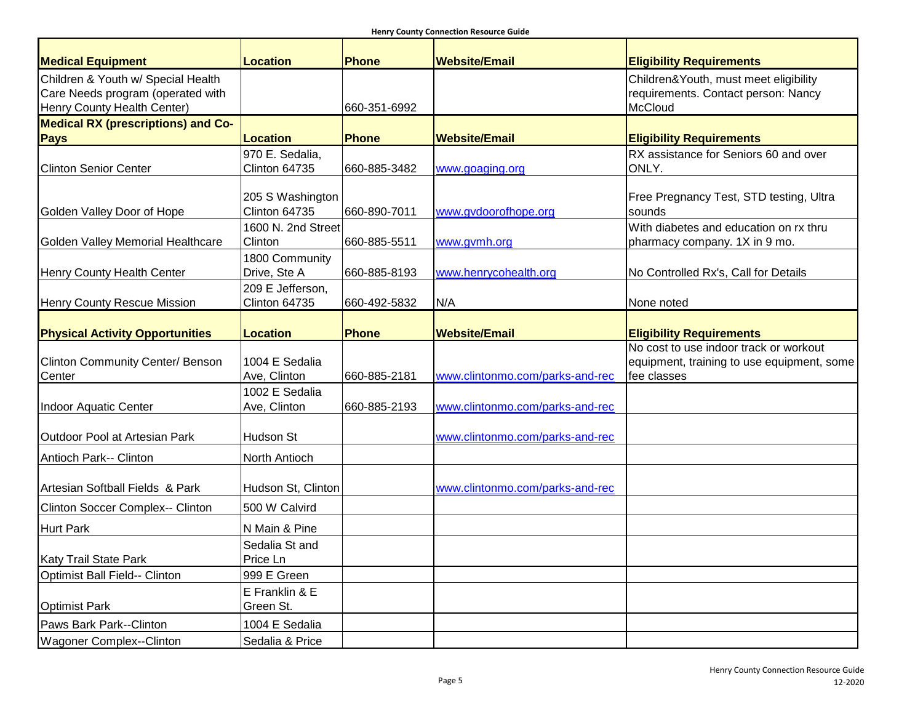| <b>Medical Equipment</b>                  | Location                       | <b>Phone</b> | <b>Website/Email</b>            | <b>Eligibility Requirements</b>            |
|-------------------------------------------|--------------------------------|--------------|---------------------------------|--------------------------------------------|
| Children & Youth w/ Special Health        |                                |              |                                 | Children&Youth, must meet eligibility      |
| Care Needs program (operated with         |                                |              |                                 | requirements. Contact person: Nancy        |
| Henry County Health Center)               |                                | 660-351-6992 |                                 | McCloud                                    |
| <b>Medical RX (prescriptions) and Co-</b> |                                |              |                                 |                                            |
| <b>Pays</b>                               | Location                       | <b>Phone</b> | <b>Website/Email</b>            | <b>Eligibility Requirements</b>            |
|                                           | 970 E. Sedalia,                |              |                                 | RX assistance for Seniors 60 and over      |
| <b>Clinton Senior Center</b>              | Clinton 64735                  | 660-885-3482 | www.goaging.org                 | ONLY.                                      |
|                                           |                                |              |                                 |                                            |
|                                           | 205 S Washington               |              |                                 | Free Pregnancy Test, STD testing, Ultra    |
| Golden Valley Door of Hope                | Clinton 64735                  | 660-890-7011 | www.gvdoorofhope.org            | sounds                                     |
|                                           | 1600 N. 2nd Street             |              |                                 | With diabetes and education on rx thru     |
| Golden Valley Memorial Healthcare         | Clinton                        | 660-885-5511 | www.gvmh.org                    | pharmacy company. 1X in 9 mo.              |
| <b>Henry County Health Center</b>         | 1800 Community<br>Drive, Ste A | 660-885-8193 | www.henrycohealth.org           | No Controlled Rx's, Call for Details       |
|                                           | 209 E Jefferson,               |              |                                 |                                            |
| <b>Henry County Rescue Mission</b>        | Clinton 64735                  | 660-492-5832 | N/A                             | None noted                                 |
|                                           |                                |              |                                 |                                            |
| <b>Physical Activity Opportunities</b>    | Location                       | <b>Phone</b> | <b>Website/Email</b>            | <b>Eligibility Requirements</b>            |
|                                           |                                |              |                                 | No cost to use indoor track or workout     |
| <b>Clinton Community Center/ Benson</b>   | 1004 E Sedalia                 |              |                                 | equipment, training to use equipment, some |
| Center                                    | Ave, Clinton                   | 660-885-2181 | www.clintonmo.com/parks-and-rec | fee classes                                |
|                                           | 1002 E Sedalia                 |              |                                 |                                            |
| Indoor Aquatic Center                     | Ave, Clinton                   | 660-885-2193 | www.clintonmo.com/parks-and-rec |                                            |
|                                           |                                |              |                                 |                                            |
| Outdoor Pool at Artesian Park             | Hudson St                      |              | www.clintonmo.com/parks-and-rec |                                            |
| <b>Antioch Park-- Clinton</b>             | North Antioch                  |              |                                 |                                            |
|                                           |                                |              |                                 |                                            |
| Artesian Softball Fields & Park           | Hudson St, Clinton             |              | www.clintonmo.com/parks-and-rec |                                            |
| Clinton Soccer Complex-- Clinton          | 500 W Calvird                  |              |                                 |                                            |
| <b>Hurt Park</b>                          | N Main & Pine                  |              |                                 |                                            |
|                                           | Sedalia St and                 |              |                                 |                                            |
| Katy Trail State Park                     | Price Ln                       |              |                                 |                                            |
| Optimist Ball Field-- Clinton             | 999 E Green                    |              |                                 |                                            |
|                                           | E Franklin & E                 |              |                                 |                                            |
| <b>Optimist Park</b>                      | Green St.                      |              |                                 |                                            |
| Paws Bark Park--Clinton                   | 1004 E Sedalia                 |              |                                 |                                            |
| <b>Wagoner Complex--Clinton</b>           | Sedalia & Price                |              |                                 |                                            |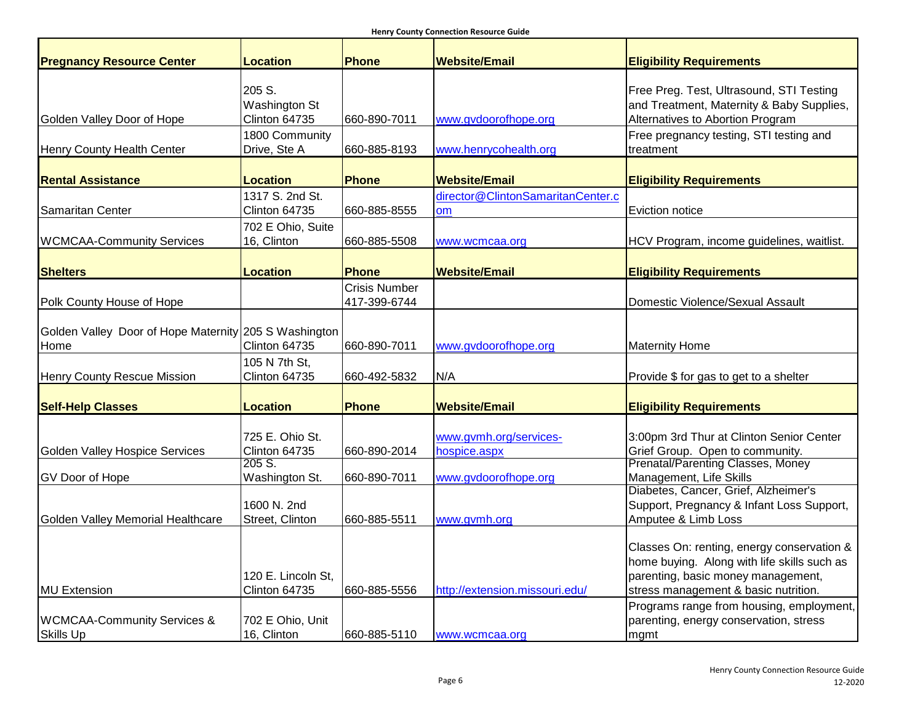| <b>Pregnancy Resource Center</b>                              | <b>Location</b>                          | <b>Phone</b>                         | <b>Website/Email</b>                    | <b>Eligibility Requirements</b>                                                                                                                                         |
|---------------------------------------------------------------|------------------------------------------|--------------------------------------|-----------------------------------------|-------------------------------------------------------------------------------------------------------------------------------------------------------------------------|
| Golden Valley Door of Hope                                    | 205 S.<br>Washington St<br>Clinton 64735 | 660-890-7011                         | www.gvdoorofhope.org                    | Free Preg. Test, Ultrasound, STI Testing<br>and Treatment, Maternity & Baby Supplies,<br>Alternatives to Abortion Program                                               |
| Henry County Health Center                                    | 1800 Community<br>Drive, Ste A           | 660-885-8193                         | www.henrycohealth.org                   | Free pregnancy testing, STI testing and<br>treatment                                                                                                                    |
| <b>Rental Assistance</b>                                      | <b>Location</b>                          | Phone                                | <b>Website/Email</b>                    | <b>Eligibility Requirements</b>                                                                                                                                         |
| Samaritan Center                                              | 1317 S. 2nd St.<br>Clinton 64735         | 660-885-8555                         | director@ClintonSamaritanCenter.c<br>om | Eviction notice                                                                                                                                                         |
| <b>WCMCAA-Community Services</b>                              | 702 E Ohio, Suite<br>16, Clinton         | 660-885-5508                         | www.wcmcaa.org                          | HCV Program, income guidelines, waitlist.                                                                                                                               |
| <b>Shelters</b>                                               | <b>Location</b>                          | <b>Phone</b>                         | <b>Website/Email</b>                    | <b>Eligibility Requirements</b>                                                                                                                                         |
| Polk County House of Hope                                     |                                          | <b>Crisis Number</b><br>417-399-6744 |                                         | Domestic Violence/Sexual Assault                                                                                                                                        |
| Golden Valley Door of Hope Maternity 205 S Washington<br>Home | Clinton 64735                            | 660-890-7011                         | www.gvdoorofhope.org                    | <b>Maternity Home</b>                                                                                                                                                   |
| <b>Henry County Rescue Mission</b>                            | 105 N 7th St,<br>Clinton 64735           | 660-492-5832                         | N/A                                     | Provide \$ for gas to get to a shelter                                                                                                                                  |
| <b>Self-Help Classes</b>                                      | <b>Location</b>                          | <b>Phone</b>                         | <b>Website/Email</b>                    | <b>Eligibility Requirements</b>                                                                                                                                         |
| <b>Golden Valley Hospice Services</b>                         | 725 E. Ohio St.<br>Clinton 64735         | 660-890-2014                         | www.gvmh.org/services-<br>hospice.aspx  | 3:00pm 3rd Thur at Clinton Senior Center<br>Grief Group. Open to community.                                                                                             |
| GV Door of Hope                                               | 205 S.<br>Washington St.                 | 660-890-7011                         | www.gvdoorofhope.org                    | Prenatal/Parenting Classes, Money<br>Management, Life Skills                                                                                                            |
| Golden Valley Memorial Healthcare                             | 1600 N. 2nd<br>Street, Clinton           | 660-885-5511                         | www.gymh.org                            | Diabetes, Cancer, Grief, Alzheimer's<br>Support, Pregnancy & Infant Loss Support,<br>Amputee & Limb Loss                                                                |
| <b>MU Extension</b>                                           | 120 E. Lincoln St.<br>Clinton 64735      | 660-885-5556                         | http://extension.missouri.edu/          | Classes On: renting, energy conservation &<br>home buying. Along with life skills such as<br>parenting, basic money management,<br>stress management & basic nutrition. |
| <b>WCMCAA-Community Services &amp;</b><br><b>Skills Up</b>    | 702 E Ohio, Unit<br>16, Clinton          | 660-885-5110                         | www.wcmcaa.org                          | Programs range from housing, employment,<br>parenting, energy conservation, stress<br>mgmt                                                                              |